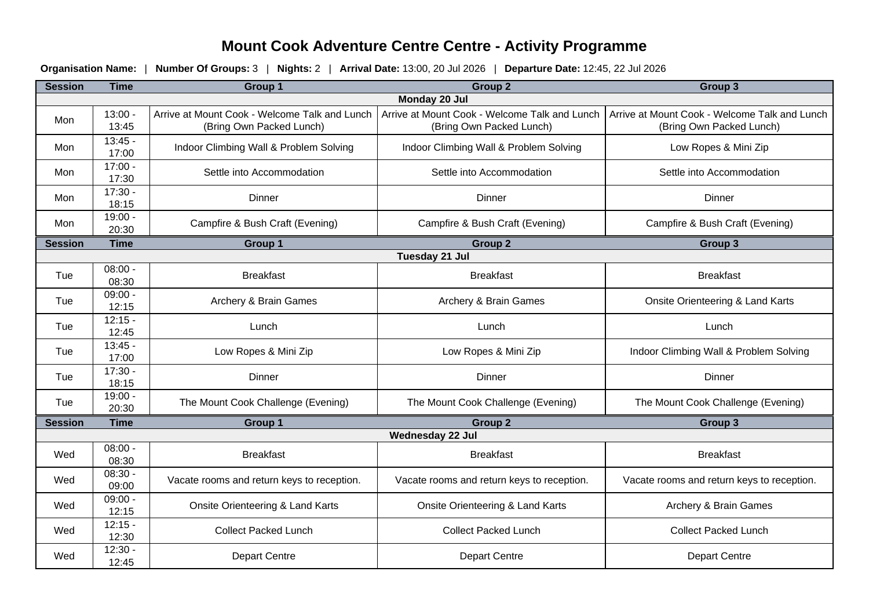## **Mount Cook Adventure Centre Centre - Activity Programme**

**Organisation Name:** | **Number Of Groups:** 3 | **Nights:** 2 | **Arrival Date:** 13:00, 20 Jul 2026 | **Departure Date:** 12:45, 22 Jul 2026

| <b>Session</b>   | <b>Time</b>        | <b>Group 1</b>                                                            | Group <sub>2</sub>                                                        | Group 3                                                                   |
|------------------|--------------------|---------------------------------------------------------------------------|---------------------------------------------------------------------------|---------------------------------------------------------------------------|
| Monday 20 Jul    |                    |                                                                           |                                                                           |                                                                           |
| Mon              | $13:00 -$<br>13:45 | Arrive at Mount Cook - Welcome Talk and Lunch<br>(Bring Own Packed Lunch) | Arrive at Mount Cook - Welcome Talk and Lunch<br>(Bring Own Packed Lunch) | Arrive at Mount Cook - Welcome Talk and Lunch<br>(Bring Own Packed Lunch) |
| Mon              | $13:45 -$<br>17:00 | Indoor Climbing Wall & Problem Solving                                    | Indoor Climbing Wall & Problem Solving                                    | Low Ropes & Mini Zip                                                      |
| Mon              | $17:00 -$<br>17:30 | Settle into Accommodation                                                 | Settle into Accommodation                                                 | Settle into Accommodation                                                 |
| Mon              | $17:30 -$<br>18:15 | <b>Dinner</b>                                                             | Dinner                                                                    | Dinner                                                                    |
| Mon              | $19:00 -$<br>20:30 | Campfire & Bush Craft (Evening)                                           | Campfire & Bush Craft (Evening)                                           | Campfire & Bush Craft (Evening)                                           |
| <b>Session</b>   | <b>Time</b>        | Group 1                                                                   | <b>Group 2</b>                                                            | <b>Group 3</b>                                                            |
| Tuesday 21 Jul   |                    |                                                                           |                                                                           |                                                                           |
| Tue              | $08:00 -$<br>08:30 | <b>Breakfast</b>                                                          | <b>Breakfast</b>                                                          | <b>Breakfast</b>                                                          |
| Tue              | $09:00 -$<br>12:15 | Archery & Brain Games                                                     | Archery & Brain Games                                                     | Onsite Orienteering & Land Karts                                          |
| Tue              | $12:15 -$<br>12:45 | Lunch                                                                     | Lunch                                                                     | Lunch                                                                     |
| Tue              | $13:45 -$<br>17:00 | Low Ropes & Mini Zip                                                      | Low Ropes & Mini Zip                                                      | Indoor Climbing Wall & Problem Solving                                    |
| Tue              | $17:30 -$<br>18:15 | Dinner                                                                    | Dinner                                                                    | Dinner                                                                    |
| Tue              | $19:00 -$<br>20:30 | The Mount Cook Challenge (Evening)                                        | The Mount Cook Challenge (Evening)                                        | The Mount Cook Challenge (Evening)                                        |
| <b>Session</b>   | <b>Time</b>        | Group 1                                                                   | <b>Group 2</b>                                                            | <b>Group 3</b>                                                            |
| Wednesday 22 Jul |                    |                                                                           |                                                                           |                                                                           |
| Wed              | $08:00 -$<br>08:30 | <b>Breakfast</b>                                                          | <b>Breakfast</b>                                                          | <b>Breakfast</b>                                                          |
| Wed              | $08:30 -$<br>09:00 | Vacate rooms and return keys to reception.                                | Vacate rooms and return keys to reception.                                | Vacate rooms and return keys to reception.                                |
| Wed              | $09:00 -$<br>12:15 | Onsite Orienteering & Land Karts                                          | Onsite Orienteering & Land Karts                                          | Archery & Brain Games                                                     |
| Wed              | $12:15 -$<br>12:30 | <b>Collect Packed Lunch</b>                                               | <b>Collect Packed Lunch</b>                                               | <b>Collect Packed Lunch</b>                                               |
| Wed              | $12:30 -$<br>12:45 | <b>Depart Centre</b>                                                      | <b>Depart Centre</b>                                                      | <b>Depart Centre</b>                                                      |